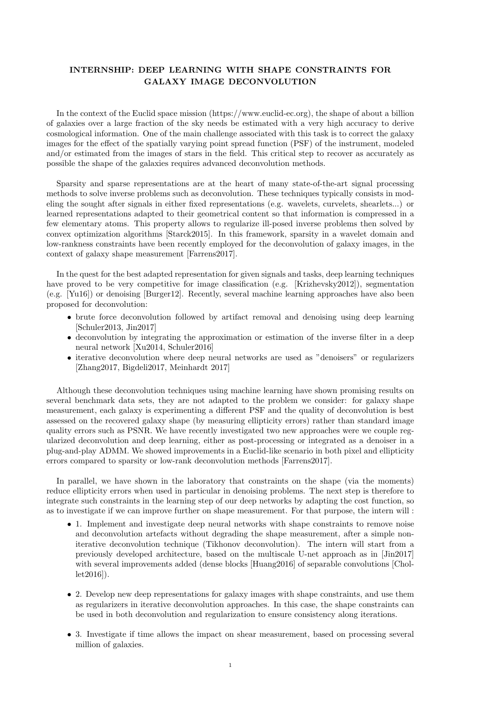## INTERNSHIP: DEEP LEARNING WITH SHAPE CONSTRAINTS FOR GALAXY IMAGE DECONVOLUTION

In the context of the Euclid space mission (https://www.euclid-ec.org), the shape of about a billion of galaxies over a large fraction of the sky needs be estimated with a very high accuracy to derive cosmological information. One of the main challenge associated with this task is to correct the galaxy images for the effect of the spatially varying point spread function (PSF) of the instrument, modeled and/or estimated from the images of stars in the field. This critical step to recover as accurately as possible the shape of the galaxies requires advanced deconvolution methods.

Sparsity and sparse representations are at the heart of many state-of-the-art signal processing methods to solve inverse problems such as deconvolution. These techniques typically consists in modeling the sought after signals in either fixed representations (e.g. wavelets, curvelets, shearlets...) or learned representations adapted to their geometrical content so that information is compressed in a few elementary atoms. This property allows to regularize ill-posed inverse problems then solved by convex optimization algorithms [Starck2015]. In this framework, sparsity in a wavelet domain and low-rankness constraints have been recently employed for the deconvolution of galaxy images, in the context of galaxy shape measurement [Farrens2017].

In the quest for the best adapted representation for given signals and tasks, deep learning techniques have proved to be very competitive for image classification (e.g. [Krizhevsky2012]), segmentation (e.g. [Yu16]) or denoising [Burger12]. Recently, several machine learning approaches have also been proposed for deconvolution:

- brute force deconvolution followed by artifact removal and denoising using deep learning [Schuler2013, Jin2017]
- deconvolution by integrating the approximation or estimation of the inverse filter in a deep neural network [Xu2014, Schuler2016]
- iterative deconvolution where deep neural networks are used as "denoisers" or regularizers [Zhang2017, Bigdeli2017, Meinhardt 2017]

Although these deconvolution techniques using machine learning have shown promising results on several benchmark data sets, they are not adapted to the problem we consider: for galaxy shape measurement, each galaxy is experimenting a different PSF and the quality of deconvolution is best assessed on the recovered galaxy shape (by measuring ellipticity errors) rather than standard image quality errors such as PSNR. We have recently investigated two new approaches were we couple regularized deconvolution and deep learning, either as post-processing or integrated as a denoiser in a plug-and-play ADMM. We showed improvements in a Euclid-like scenario in both pixel and ellipticity errors compared to sparsity or low-rank deconvolution methods [Farrens2017].

In parallel, we have shown in the laboratory that constraints on the shape (via the moments) reduce ellipticity errors when used in particular in denoising problems. The next step is therefore to integrate such constraints in the learning step of our deep networks by adapting the cost function, so as to investigate if we can improve further on shape measurement. For that purpose, the intern will :

- 1. Implement and investigate deep neural networks with shape constraints to remove noise and deconvolution artefacts without degrading the shape measurement, after a simple noniterative deconvolution technique (Tikhonov deconvolution). The intern will start from a previously developed architecture, based on the multiscale U-net approach as in [Jin2017] with several improvements added (dense blocks [Huang2016] of separable convolutions [Chollet2016]).
- 2. Develop new deep representations for galaxy images with shape constraints, and use them as regularizers in iterative deconvolution approaches. In this case, the shape constraints can be used in both deconvolution and regularization to ensure consistency along iterations.
- 3. Investigate if time allows the impact on shear measurement, based on processing several million of galaxies.